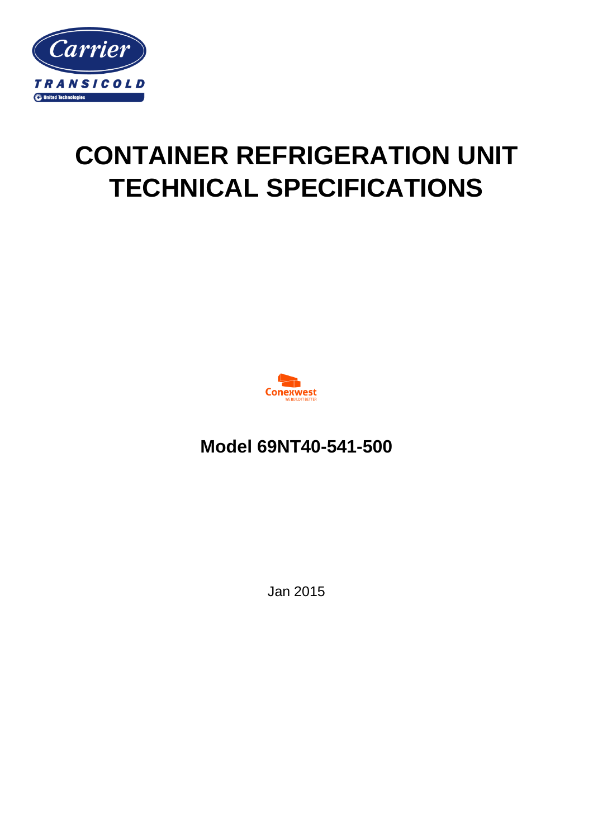

# **CONTAINER REFRIGERATION UNIT TECHNICAL SPECIFICATIONS**



**Model 69NT40-541-500**

Jan 2015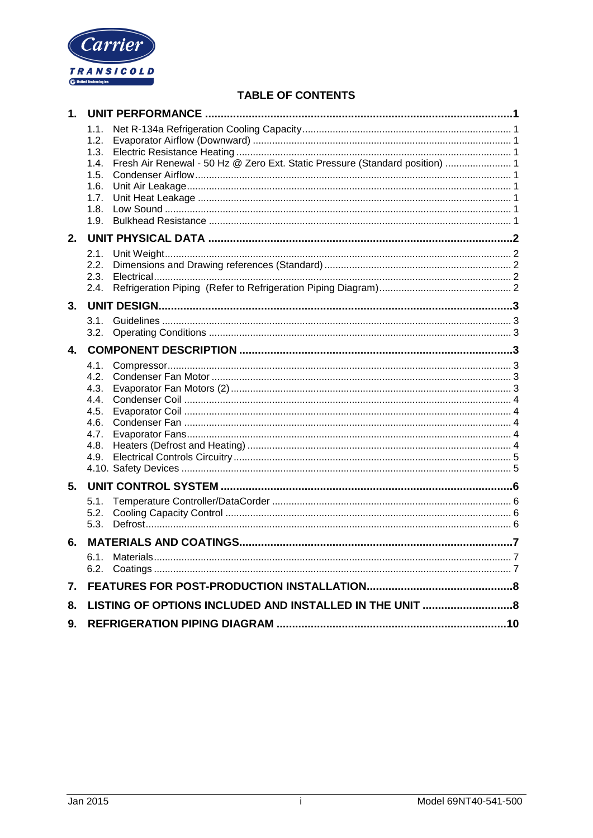

# TABLE OF CONTENTS

| 1. |                                                                      |                                                                              |  |
|----|----------------------------------------------------------------------|------------------------------------------------------------------------------|--|
|    | 1.1.<br>1.2.<br>1.3.<br>1.4.<br>1.5.<br>1.6.<br>1.7.<br>1.8.<br>1.9. | Fresh Air Renewal - 50 Hz @ Zero Ext. Static Pressure (Standard position)  1 |  |
| 2. |                                                                      |                                                                              |  |
|    | 2.1.<br>2.2.<br>2.3.<br>2.4.                                         |                                                                              |  |
| 3. |                                                                      |                                                                              |  |
|    | 3.1.<br>3.2.                                                         |                                                                              |  |
| 4. |                                                                      |                                                                              |  |
|    | 4.1.<br>4.2.<br>4.3.<br>4.4.<br>4.5.<br>4.6.<br>4.7.<br>4.8.<br>4.9. |                                                                              |  |
| 5. |                                                                      |                                                                              |  |
|    | 5.1.<br>5.2.<br>5.3.                                                 |                                                                              |  |
| 6. |                                                                      |                                                                              |  |
|    |                                                                      |                                                                              |  |
| 7. |                                                                      |                                                                              |  |
| 8. |                                                                      |                                                                              |  |
| 9. |                                                                      |                                                                              |  |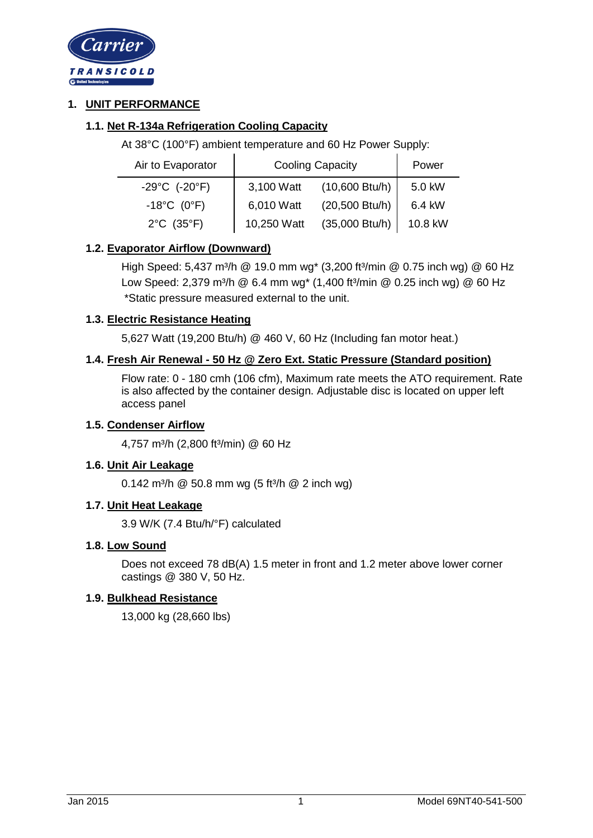

# **1. UNIT PERFORMANCE**

# **1.1. Net R-134a Refrigeration Cooling Capacity**

At 38°C (100°F) ambient temperature and 60 Hz Power Supply:

| Air to Evaporator                  | <b>Cooling Capacity</b> |                          | Power   |
|------------------------------------|-------------------------|--------------------------|---------|
| $-29^{\circ}$ C (-20 $^{\circ}$ F) | 3,100 Watt              | $(10,600 \text{ Btu/h})$ | 5.0 kW  |
| $-18^{\circ}$ C (0°F)              | 6,010 Watt              | (20,500 Btu/h)           | 6.4 kW  |
| $2^{\circ}C$ (35 $^{\circ}F$ )     | 10,250 Watt             | (35,000 Btu/h)           | 10.8 kW |

# **1.2. Evaporator Airflow (Downward)**

High Speed: 5,437 m<sup>3</sup>/h @ 19.0 mm wg<sup>\*</sup> (3,200 ft<sup>3</sup>/min @ 0.75 inch wg) @ 60 Hz Low Speed: 2,379 m<sup>3</sup>/h @ 6.4 mm wg<sup>\*</sup> (1,400 ft<sup>3</sup>/min @ 0.25 inch wg) @ 60 Hz \*Static pressure measured external to the unit.

# **1.3. Electric Resistance Heating**

5,627 Watt (19,200 Btu/h) @ 460 V, 60 Hz (Including fan motor heat.)

# **1.4. Fresh Air Renewal - 50 Hz @ Zero Ext. Static Pressure (Standard position)**

Flow rate: 0 - 180 cmh (106 cfm), Maximum rate meets the ATO requirement. Rate is also affected by the container design. Adjustable disc is located on upper left access panel

# **1.5. Condenser Airflow**

4,757 m<sup>3</sup>/h (2,800 ft<sup>3</sup>/min) @ 60 Hz

# **1.6. Unit Air Leakage**

0.142 m<sup>3</sup>/h  $@$  50.8 mm wg (5 ft<sup>3</sup>/h  $@$  2 inch wg)

# **1.7. Unit Heat Leakage**

3.9 W/K (7.4 Btu/h/°F) calculated

# **1.8. Low Sound**

Does not exceed 78 dB(A) 1.5 meter in front and 1.2 meter above lower corner castings @ 380 V, 50 Hz.

# **1.9. Bulkhead Resistance**

13,000 kg (28,660 lbs)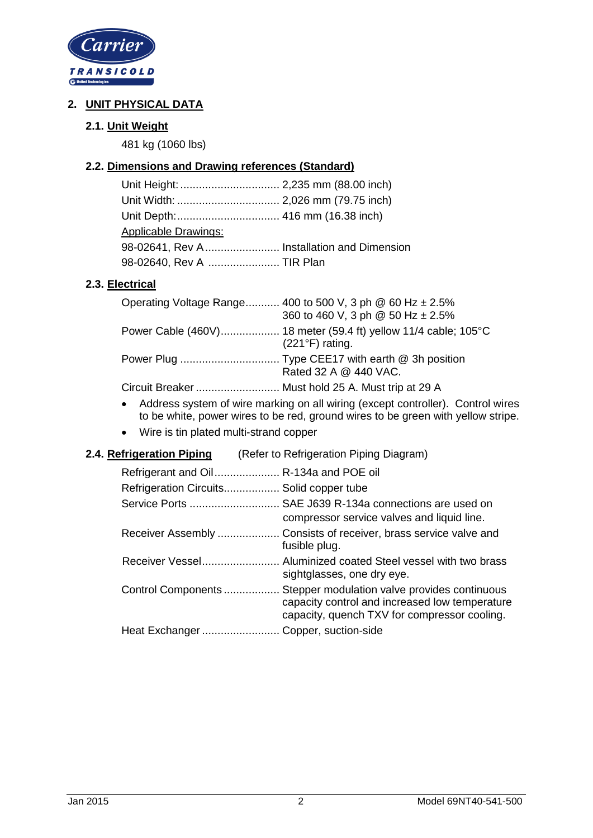

# **2. UNIT PHYSICAL DATA**

# **2.1. Unit Weight**

481 kg (1060 lbs)

# **2.2. Dimensions and Drawing references (Standard)**

| <b>Applicable Drawings:</b>                |  |
|--------------------------------------------|--|
| 98-02641, Rev A Installation and Dimension |  |
| 98-02640, Rev A  TIR Plan                  |  |

# **2.3. Electrical**

| Operating Voltage Range 400 to 500 V, 3 ph $\omega$ 60 Hz $\pm$ 2.5% |
|----------------------------------------------------------------------|
| 360 to 460 V, 3 ph @ 50 Hz ± 2.5%                                    |
| $(221^{\circ}F)$ rating.                                             |
| Rated 32 A @ 440 VAC.                                                |
| Circuit Breaker  Must hold 25 A. Must trip at 29 A                   |

- Address system of wire marking on all wiring (except controller). Control wires to be white, power wires to be red, ground wires to be green with yellow stripe.
- Wire is tin plated multi-strand copper

# **2.4. Refrigeration Piping** (Refer to Refrigeration Piping Diagram)

| Refrigerant and Oil R-134a and POE oil   |                                                                                                                                                |
|------------------------------------------|------------------------------------------------------------------------------------------------------------------------------------------------|
| Refrigeration Circuits Solid copper tube |                                                                                                                                                |
|                                          | Service Ports  SAE J639 R-134a connections are used on<br>compressor service valves and liquid line.                                           |
|                                          | Receiver Assembly  Consists of receiver, brass service valve and<br>fusible plug.                                                              |
|                                          | sightglasses, one dry eye.                                                                                                                     |
| Control Components                       | Stepper modulation valve provides continuous<br>capacity control and increased low temperature<br>capacity, quench TXV for compressor cooling. |
| Heat Exchanger                           | Copper, suction-side                                                                                                                           |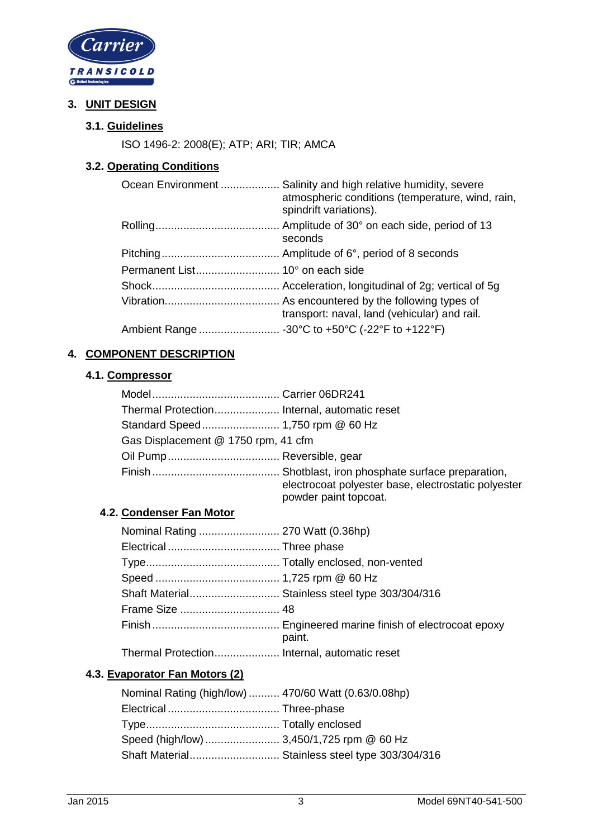

# **3. UNIT DESIGN**

# **3.1. Guidelines**

ISO 1496-2: 2008(E); ATP; ARI; TIR; AMCA

# **3.2. Operating Conditions**

| Ocean Environment  Salinity and high relative humidity, severe<br>atmospheric conditions (temperature, wind, rain,<br>spindrift variations). |
|----------------------------------------------------------------------------------------------------------------------------------------------|
| seconds                                                                                                                                      |
|                                                                                                                                              |
|                                                                                                                                              |
|                                                                                                                                              |
| transport: naval, land (vehicular) and rail.                                                                                                 |
|                                                                                                                                              |

# **4. COMPONENT DESCRIPTION**

# **4.1. Compressor**

| Gas Displacement @ 1750 rpm, 41 cfm |                                                                              |
|-------------------------------------|------------------------------------------------------------------------------|
|                                     |                                                                              |
|                                     | electrocoat polyester base, electrostatic polyester<br>powder paint topcoat. |

#### **4.2. Condenser Fan Motor**

| Nominal Rating  270 Watt (0.36hp)            |                                                 |
|----------------------------------------------|-------------------------------------------------|
|                                              |                                                 |
|                                              |                                                 |
|                                              |                                                 |
|                                              | Shaft Material Stainless steel type 303/304/316 |
|                                              |                                                 |
|                                              | paint.                                          |
| Thermal Protection Internal, automatic reset |                                                 |

# **4.3. Evaporator Fan Motors (2)**

| Nominal Rating (high/low)  470/60 Watt (0.63/0.08hp) |                                                 |
|------------------------------------------------------|-------------------------------------------------|
|                                                      |                                                 |
|                                                      |                                                 |
|                                                      |                                                 |
|                                                      | Shaft Material Stainless steel type 303/304/316 |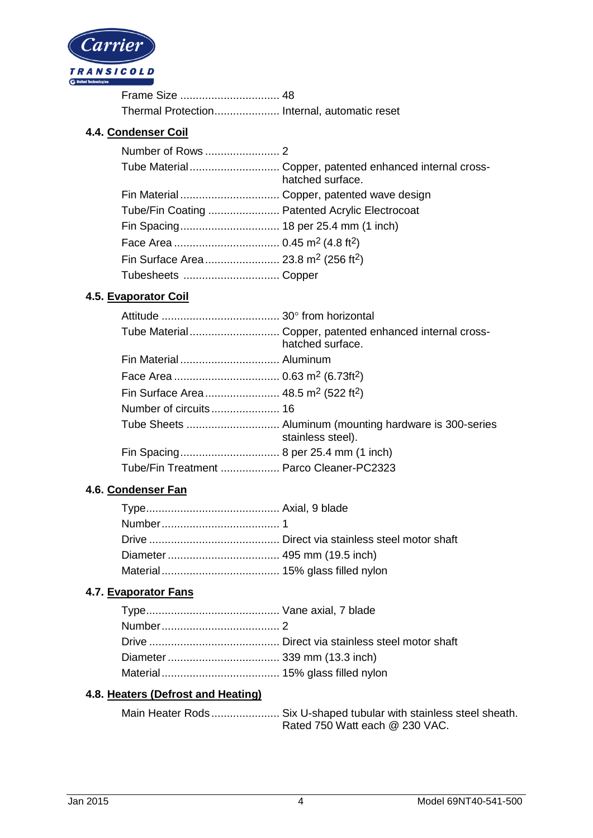

Frame Size ................................ 48 Thermal Protection ..................... Internal, automatic reset

#### **4.4. Condenser Coil**

|                                                              | Tube Material Copper, patented enhanced internal cross-<br>hatched surface. |
|--------------------------------------------------------------|-----------------------------------------------------------------------------|
|                                                              |                                                                             |
| Tube/Fin Coating  Patented Acrylic Electrocoat               |                                                                             |
|                                                              |                                                                             |
|                                                              |                                                                             |
| Fin Surface Area  23.8 m <sup>2</sup> (256 ft <sup>2</sup> ) |                                                                             |
|                                                              |                                                                             |

## **4.5. Evaporator Coil**

|                                                             | Tube Material Copper, patented enhanced internal cross-<br>hatched surface. |
|-------------------------------------------------------------|-----------------------------------------------------------------------------|
| Fin Material Aluminum                                       |                                                                             |
|                                                             |                                                                             |
| Fin Surface Area 48.5 m <sup>2</sup> (522 ft <sup>2</sup> ) |                                                                             |
|                                                             |                                                                             |
|                                                             | Tube Sheets  Aluminum (mounting hardware is 300-series<br>stainless steel). |
|                                                             |                                                                             |
| Tube/Fin Treatment  Parco Cleaner-PC2323                    |                                                                             |

# **4.6. Condenser Fan**

# **4.7. Evaporator Fans**

# **4.8. Heaters (Defrost and Heating)**

| Main Heater Rods Six U-shaped tubular with stainless steel sheath. |                                |  |
|--------------------------------------------------------------------|--------------------------------|--|
|                                                                    | Rated 750 Watt each @ 230 VAC. |  |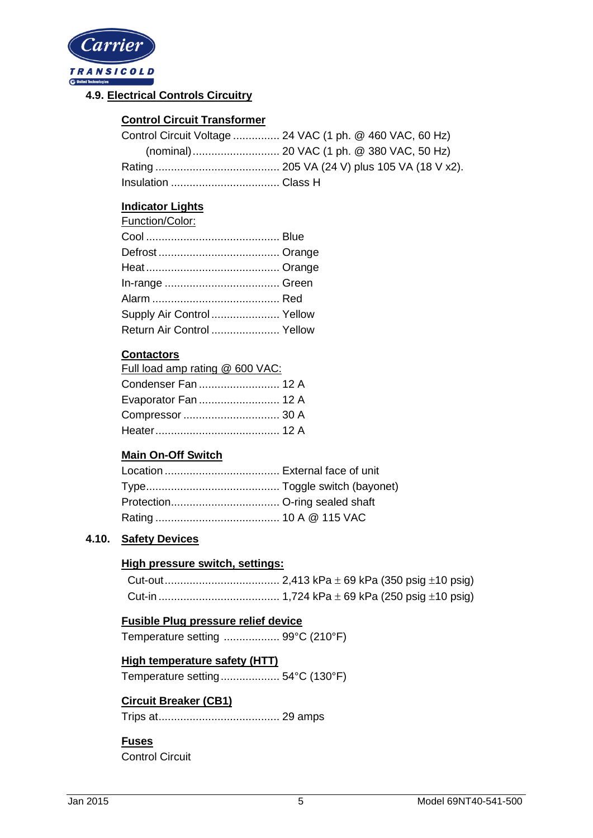

# **4.9. Electrical Controls Circuitry**

# **Control Circuit Transformer**

| Control Circuit Voltage  24 VAC (1 ph. @ 460 VAC, 60 Hz) |
|----------------------------------------------------------|
|                                                          |
|                                                          |
|                                                          |

# **Indicator Lights**

| Function/Color:            |  |
|----------------------------|--|
|                            |  |
|                            |  |
|                            |  |
|                            |  |
|                            |  |
| Supply Air Control  Yellow |  |
| Return Air Control  Yellow |  |

# **Contactors**

| Full load amp rating @ 600 VAC: |  |
|---------------------------------|--|
| Condenser Fan  12 A             |  |
| Evaporator Fan  12 A            |  |
| Compressor  30 A                |  |
| Heater………………………………… 12 A        |  |
|                                 |  |

# **Main On-Off Switch**

# **4.10. Safety Devices**

# **High pressure switch, settings:**

# **Fusible Plug pressure relief device**

Temperature setting .................. 99°C (210°F)

# **High temperature safety (HTT)**

Temperature setting ................... 54°C (130°F)

# **Circuit Breaker (CB1)**

Trips at ....................................... 29 amps

# **Fuses**

Control Circuit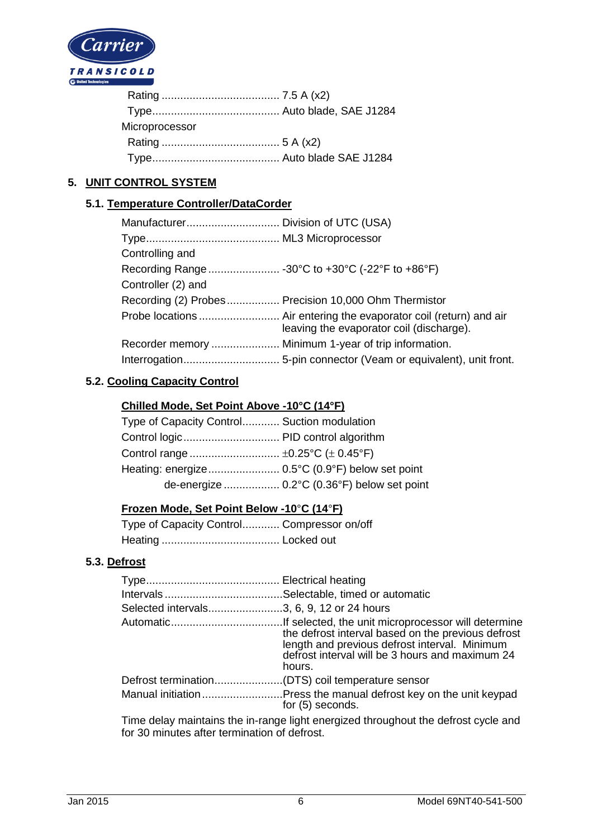

# **5. UNIT CONTROL SYSTEM**

## **5.1. Temperature Controller/DataCorder**

| Controlling and    |                                                       |
|--------------------|-------------------------------------------------------|
|                    |                                                       |
| Controller (2) and |                                                       |
|                    | Recording (2) Probes  Precision 10,000 Ohm Thermistor |
|                    | leaving the evaporator coil (discharge).              |
|                    |                                                       |
|                    |                                                       |

# **5.2. Cooling Capacity Control**

## **Chilled Mode, Set Point Above -10°C (14°F)**

| Type of Capacity Control Suction modulation |                                             |
|---------------------------------------------|---------------------------------------------|
|                                             |                                             |
|                                             |                                             |
|                                             |                                             |
|                                             | de-energize  0.2°C (0.36°F) below set point |

#### **Frozen Mode, Set Point Below -10**°**C (14**°**F)**

| Type of Capacity Control Compressor on/off |  |
|--------------------------------------------|--|
|                                            |  |

# **5.3. Defrost**

| Selected intervals3, 6, 9, 12 or 24 hours |                                                                                                                                                                  |
|-------------------------------------------|------------------------------------------------------------------------------------------------------------------------------------------------------------------|
|                                           | the defrost interval based on the previous defrost<br>length and previous defrost interval. Minimum<br>defrost interval will be 3 hours and maximum 24<br>hours. |
|                                           |                                                                                                                                                                  |
|                                           | for (5) seconds.                                                                                                                                                 |

Time delay maintains the in-range light energized throughout the defrost cycle and for 30 minutes after termination of defrost.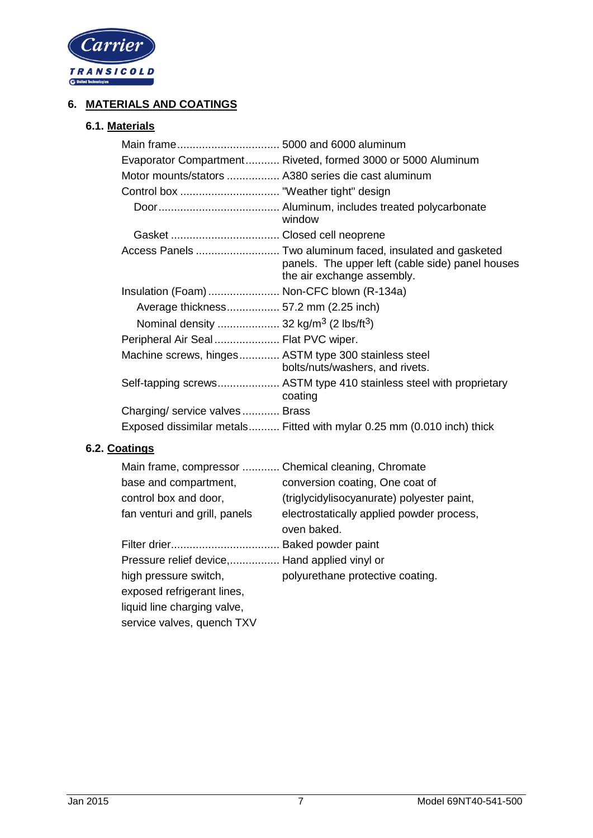

# **6. MATERIALS AND COATINGS**

# **6.1. Materials**

|                                                                | Evaporator Compartment Riveted, formed 3000 or 5000 Aluminum                                                                                |
|----------------------------------------------------------------|---------------------------------------------------------------------------------------------------------------------------------------------|
| Motor mounts/stators  A380 series die cast aluminum            |                                                                                                                                             |
|                                                                |                                                                                                                                             |
|                                                                | window                                                                                                                                      |
|                                                                |                                                                                                                                             |
|                                                                | Access Panels  Two aluminum faced, insulated and gasketed<br>panels. The upper left (cable side) panel houses<br>the air exchange assembly. |
| Insulation (Foam)  Non-CFC blown (R-134a)                      |                                                                                                                                             |
| Average thickness 57.2 mm (2.25 inch)                          |                                                                                                                                             |
| Nominal density  32 kg/m <sup>3</sup> (2 lbs/ft <sup>3</sup> ) |                                                                                                                                             |
| Peripheral Air Seal  Flat PVC wiper.                           |                                                                                                                                             |
| Machine screws, hinges ASTM type 300 stainless steel           | bolts/nuts/washers, and rivets.                                                                                                             |
|                                                                | Self-tapping screws ASTM type 410 stainless steel with proprietary<br>coating                                                               |
| Charging/ service valves Brass                                 |                                                                                                                                             |
|                                                                | Exposed dissimilar metals Fitted with mylar 0.25 mm (0.010 inch) thick                                                                      |

# **6.2. Coatings**

| Main frame, compressor  Chemical cleaning, Chromate |                                                          |
|-----------------------------------------------------|----------------------------------------------------------|
| base and compartment,                               | conversion coating, One coat of                          |
| control box and door,                               | (triglycidylisocyanurate) polyester paint,               |
| fan venturi and grill, panels                       | electrostatically applied powder process,<br>oven baked. |
|                                                     | Baked powder paint                                       |
| Pressure relief device, Hand applied vinyl or       |                                                          |
| high pressure switch,                               | polyurethane protective coating.                         |
| exposed refrigerant lines,                          |                                                          |
| liquid line charging valve,                         |                                                          |
| service valves, quench TXV                          |                                                          |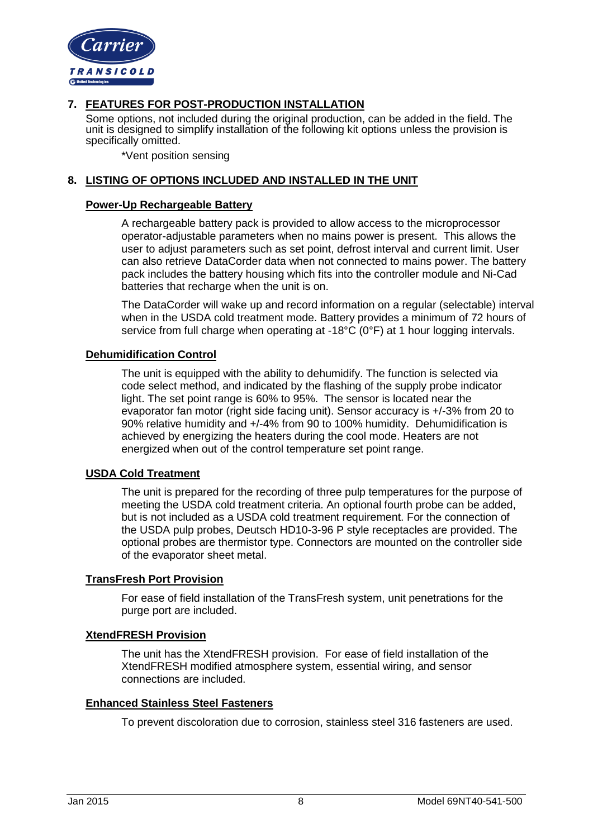

# **7. FEATURES FOR POST-PRODUCTION INSTALLATION**

Some options, not included during the original production, can be added in the field. The unit is designed to simplify installation of the following kit options unless the provision is specifically omitted.

\*Vent position sensing

#### **8. LISTING OF OPTIONS INCLUDED AND INSTALLED IN THE UNIT**

#### **Power-Up Rechargeable Battery**

A rechargeable battery pack is provided to allow access to the microprocessor operator-adjustable parameters when no mains power is present. This allows the user to adjust parameters such as set point, defrost interval and current limit. User can also retrieve DataCorder data when not connected to mains power. The battery pack includes the battery housing which fits into the controller module and Ni-Cad batteries that recharge when the unit is on.

The DataCorder will wake up and record information on a regular (selectable) interval when in the USDA cold treatment mode. Battery provides a minimum of 72 hours of service from full charge when operating at -18°C (0°F) at 1 hour logging intervals.

#### **Dehumidification Control**

The unit is equipped with the ability to dehumidify. The function is selected via code select method, and indicated by the flashing of the supply probe indicator light. The set point range is 60% to 95%. The sensor is located near the evaporator fan motor (right side facing unit). Sensor accuracy is +/-3% from 20 to 90% relative humidity and +/-4% from 90 to 100% humidity. Dehumidification is achieved by energizing the heaters during the cool mode. Heaters are not energized when out of the control temperature set point range.

#### **USDA Cold Treatment**

The unit is prepared for the recording of three pulp temperatures for the purpose of meeting the USDA cold treatment criteria. An optional fourth probe can be added, but is not included as a USDA cold treatment requirement. For the connection of the USDA pulp probes, Deutsch HD10-3-96 P style receptacles are provided. The optional probes are thermistor type. Connectors are mounted on the controller side of the evaporator sheet metal.

#### **TransFresh Port Provision**

For ease of field installation of the TransFresh system, unit penetrations for the purge port are included.

#### **XtendFRESH Provision**

The unit has the XtendFRESH provision. For ease of field installation of the XtendFRESH modified atmosphere system, essential wiring, and sensor connections are included.

#### **Enhanced Stainless Steel Fasteners**

To prevent discoloration due to corrosion, stainless steel 316 fasteners are used.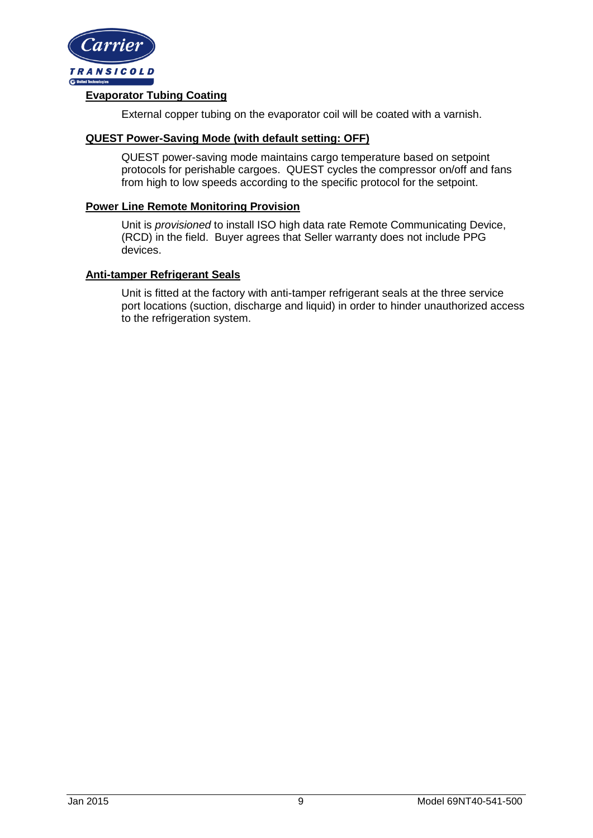

## **Evaporator Tubing Coating**

External copper tubing on the evaporator coil will be coated with a varnish.

#### **QUEST Power-Saving Mode (with default setting: OFF)**

QUEST power-saving mode maintains cargo temperature based on setpoint protocols for perishable cargoes. QUEST cycles the compressor on/off and fans from high to low speeds according to the specific protocol for the setpoint.

#### **Power Line Remote Monitoring Provision**

Unit is *provisioned* to install ISO high data rate Remote Communicating Device, (RCD) in the field. Buyer agrees that Seller warranty does not include PPG devices.

#### **Anti-tamper Refrigerant Seals**

Unit is fitted at the factory with anti-tamper refrigerant seals at the three service port locations (suction, discharge and liquid) in order to hinder unauthorized access to the refrigeration system.